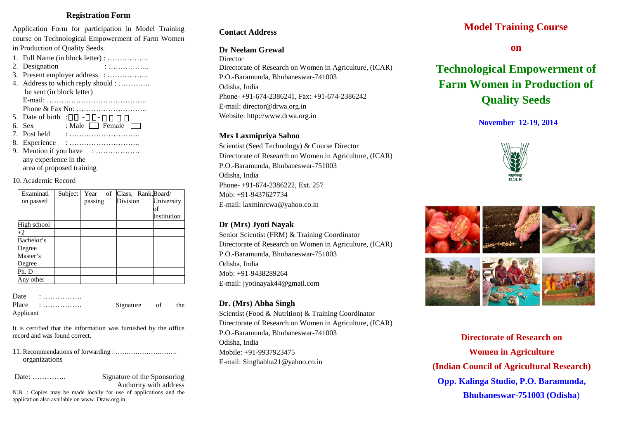# **Registration Form**

Application Form for participation in Model Training course on Technological Empowerment of Farm Women in Production of Quality Seeds.

1. Full Name (in block letter) : …………….. 2. Designation : ………………. 3. Present employer address : …………….. 4. Address to which reply should : …………. be sent (in block letter) E-mail: ………………………………….. Phone & Fax No: ……………………….. 5. Date of birth :  $\Box$  $\Box$  - $\Box$  $\Box$  - $\Box$  $\Box$   $\Box$  $\Box$ 6. Sex : Male  $\Box$  Female  $\Box$ 7. Post held : ……………………….. 8. Experience : ……………………….. 9. Mention if you have : ……………… any experience in the area of proposed training

#### 10. Academic Record

| Examinati   | Subject |         | Year of Class, Rank, Board/ |             |
|-------------|---------|---------|-----------------------------|-------------|
| on passed   |         | passing | Division                    | University  |
|             |         |         |                             | Oİ          |
|             |         |         |                             | Institution |
| High school |         |         |                             |             |
| $+2$        |         |         |                             |             |
| Bachelor's  |         |         |                             |             |
| Degree      |         |         |                             |             |
| Master's    |         |         |                             |             |
| Degree      |         |         |                             |             |
| Ph. D       |         |         |                             |             |
| Any other   |         |         |                             |             |

| Date      | .                                     |           |    |     |
|-----------|---------------------------------------|-----------|----|-----|
|           | $Place : \ldots \ldots \ldots \ldots$ | Signature | of | the |
| Applicant |                                       |           |    |     |

It is certified that the information was furnished by the office record and was found correct.

11. Recommendations of forwarding : ………………………. organizations

Date: ………….. Signature of the Sponsoring Authority with address

N.B. : Copies may be made locally for use of applications and the application also available on www. Draw.org.in

# **Contact Address**

# **Dr Neelam Grewal**

**Director** Directorate of Research on Women in Agriculture, (ICAR) P.O.-Baramunda, Bhubaneswar-741003 Odisha, India Phone- +91-674-2386241, Fax: +91-674-2386242 E-mail: director@drwa.org.in Website: http://www.drwa.org.in

#### **Mrs Laxmipriya Sahoo**

Scientist (Seed Technology) & Course Director Directorate of Research on Women in Agriculture, (ICAR) P.O.-Baramunda, Bhubaneswar-751003 Odisha, India Phone- +91-674-2386222, Ext. 257 Mob: +91-9437627734 E-mail: laxminrcwa@yahoo.co.in

# **Dr (Mrs) Jyoti Nayak**

Senior Scientist (FRM) & Training Coordinator Directorate of Research on Women in Agriculture, (ICAR) P.O.-Baramunda, Bhubaneswar-751003 Odisha, India Mob: +91-9438289264 E-mail: jyotinayak44@gmail.com

# **Dr. (Mrs) Abha Singh**

Scientist (Food & Nutrition) & Training Coordinator Directorate of Research on Women in Agriculture, (ICAR) P.O.-Baramunda, Bhubaneswar-741003 Odisha, India Mobile: +91-9937923475 E-mail: Singhabha21@yahoo.co.in

# **Model Training Course**

**on**

# **Technological Empowerment of Farm Women in Production of Quality Seeds**

# **November 12-19, 2014**





**Directorate of Research on Women in Agriculture (Indian Council of Agricultural Research) Opp. Kalinga Studio, P.O. Baramunda, Bhubaneswar-751003 (Odisha**)